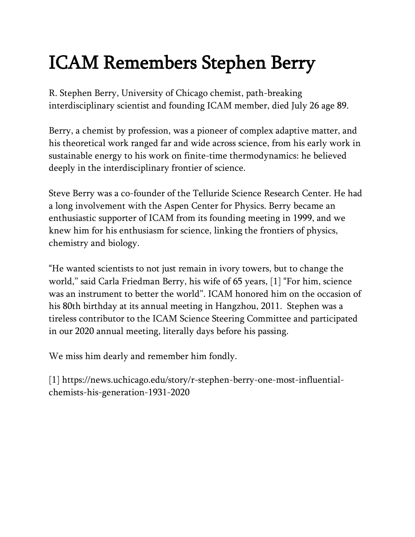## ICAM Remembers Stephen Berry

R. Stephen Berry, University of Chicago chemist, path-breaking interdisciplinary scientist and founding ICAM member, died July 26 age 89.

Berry, a chemist by profession, was a pioneer of complex adaptive matter, and his theoretical work ranged far and wide across science, from his early work in sustainable energy to his work on finite-time thermodynamics: he believed deeply in the interdisciplinary frontier of science.

Steve Berry was a co-founder of the Telluride Science Research Center. He had a long involvement with the Aspen Center for Physics. Berry became an enthusiastic supporter of ICAM from its founding meeting in 1999, and we knew him for his enthusiasm for science, linking the frontiers of physics, chemistry and biology.

"He wanted scientists to not just remain in ivory towers, but to change the world," said Carla Friedman Berry, his wife of 65 years, [1] "For him, science was an instrument to better the world". ICAM honored him on the occasion of his 80th birthday at its annual meeting in Hangzhou, 2011. Stephen was a tireless contributor to the ICAM Science Steering Committee and participated in our 2020 annual meeting, literally days before his passing.

We miss him dearly and remember him fondly.

[1] https://news.uchicago.edu/story/r-stephen-berry-one-most-influentialchemists-his-generation-1931-2020